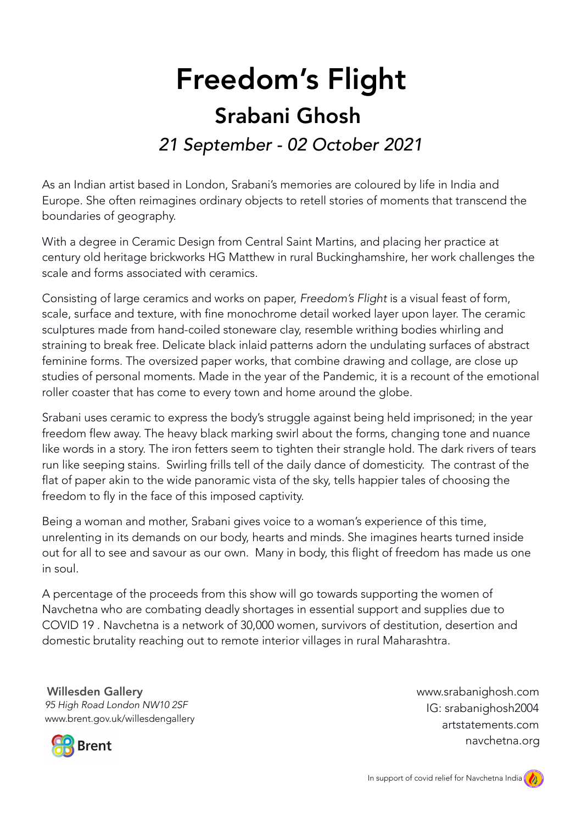## Freedom's Flight Srabani Ghosh *21 September - 02 October 2021*

As an Indian artist based in London, Srabani's memories are coloured by life in India and Europe. She often reimagines ordinary objects to retell stories of moments that transcend the boundaries of geography.

With a degree in Ceramic Design from Central Saint Martins, and placing her practice at century old heritage brickworks HG Matthew in rural Buckinghamshire, her work challenges the scale and forms associated with ceramics.

Consisting of large ceramics and works on paper, *Freedom's Flight* is a visual feast of form, scale, surface and texture, with fine monochrome detail worked layer upon layer. The ceramic sculptures made from hand-coiled stoneware clay, resemble writhing bodies whirling and straining to break free. Delicate black inlaid patterns adorn the undulating surfaces of abstract feminine forms. The oversized paper works, that combine drawing and collage, are close up studies of personal moments. Made in the year of the Pandemic, it is a recount of the emotional roller coaster that has come to every town and home around the globe.

Srabani uses ceramic to express the body's struggle against being held imprisoned; in the year freedom flew away. The heavy black marking swirl about the forms, changing tone and nuance like words in a story. The iron fetters seem to tighten their strangle hold. The dark rivers of tears run like seeping stains. Swirling frills tell of the daily dance of domesticity. The contrast of the flat of paper akin to the wide panoramic vista of the sky, tells happier tales of choosing the freedom to fly in the face of this imposed captivity.

Being a woman and mother, Srabani gives voice to a woman's experience of this time, unrelenting in its demands on our body, hearts and minds. She imagines hearts turned inside out for all to see and savour as our own. Many in body, this flight of freedom has made us one in soul.

A percentage of the proceeds from this show will go towards supporting the women of Navchetna who are combating deadly shortages in essential support and supplies due to COVID 19 . Navchetna is a network of 30,000 women, survivors of destitution, desertion and domestic brutality reaching out to remote interior villages in rural Maharashtra.

www.brent.gov.uk/willesdengallery Willesden Gallery *95 High Road London NW10 2SF* IG: srabanighosh2004

www.srabanighosh.com navchetna.org artstatements.com